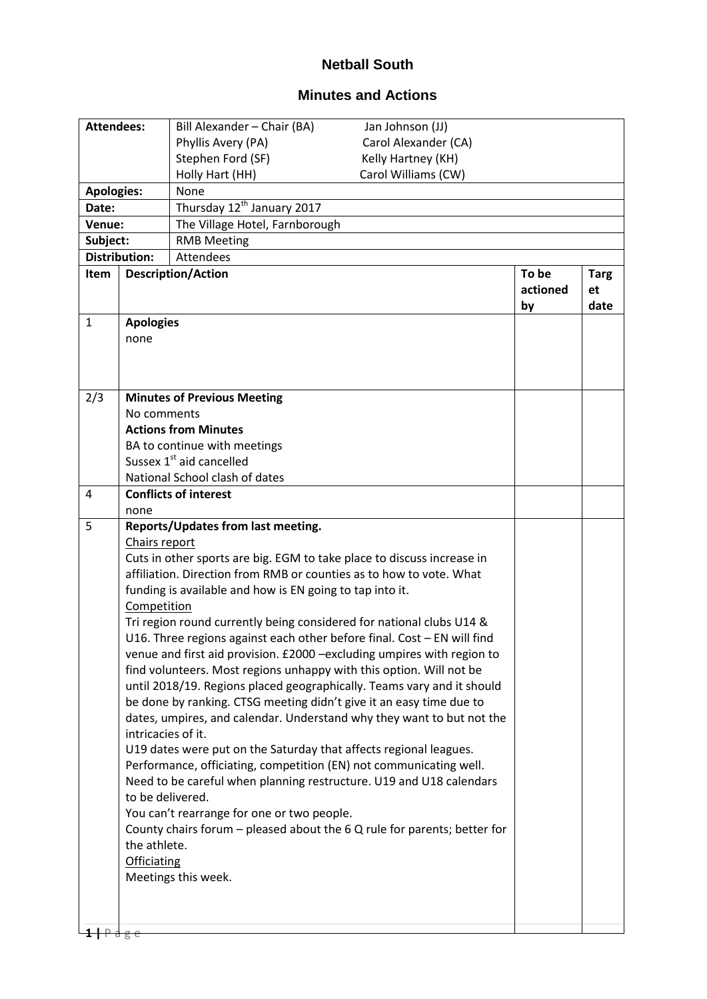## **Netball South**

## **Minutes and Actions**

| <b>Attendees:</b>                               |                                                                                                                                               | Bill Alexander - Chair (BA)                                                | Jan Johnson (JJ)     |                         |                           |  |
|-------------------------------------------------|-----------------------------------------------------------------------------------------------------------------------------------------------|----------------------------------------------------------------------------|----------------------|-------------------------|---------------------------|--|
|                                                 |                                                                                                                                               | Phyllis Avery (PA)                                                         | Carol Alexander (CA) |                         |                           |  |
|                                                 |                                                                                                                                               | Stephen Ford (SF)                                                          | Kelly Hartney (KH)   |                         |                           |  |
|                                                 |                                                                                                                                               | Holly Hart (HH)                                                            | Carol Williams (CW)  |                         |                           |  |
| <b>Apologies:</b>                               |                                                                                                                                               | None                                                                       |                      |                         |                           |  |
| Thursday 12 <sup>th</sup> January 2017<br>Date: |                                                                                                                                               |                                                                            |                      |                         |                           |  |
| Venue:                                          |                                                                                                                                               | The Village Hotel, Farnborough                                             |                      |                         |                           |  |
| Subject:                                        |                                                                                                                                               | <b>RMB Meeting</b>                                                         |                      |                         |                           |  |
|                                                 | <b>Distribution:</b>                                                                                                                          | Attendees                                                                  |                      |                         |                           |  |
| Item                                            |                                                                                                                                               | <b>Description/Action</b>                                                  |                      | To be<br>actioned<br>by | <b>Targ</b><br>et<br>date |  |
| $\mathbf{1}$                                    |                                                                                                                                               | <b>Apologies</b>                                                           |                      |                         |                           |  |
|                                                 | none                                                                                                                                          |                                                                            |                      |                         |                           |  |
|                                                 |                                                                                                                                               |                                                                            |                      |                         |                           |  |
|                                                 |                                                                                                                                               |                                                                            |                      |                         |                           |  |
| 2/3                                             |                                                                                                                                               |                                                                            |                      |                         |                           |  |
|                                                 | <b>Minutes of Previous Meeting</b><br>No comments                                                                                             |                                                                            |                      |                         |                           |  |
|                                                 |                                                                                                                                               | <b>Actions from Minutes</b>                                                |                      |                         |                           |  |
|                                                 |                                                                                                                                               | BA to continue with meetings                                               |                      |                         |                           |  |
|                                                 | Sussex 1 <sup>st</sup> aid cancelled                                                                                                          |                                                                            |                      |                         |                           |  |
|                                                 |                                                                                                                                               | National School clash of dates                                             |                      |                         |                           |  |
| 4                                               |                                                                                                                                               | <b>Conflicts of interest</b>                                               |                      |                         |                           |  |
|                                                 | none                                                                                                                                          |                                                                            |                      |                         |                           |  |
| 5                                               |                                                                                                                                               | Reports/Updates from last meeting.                                         |                      |                         |                           |  |
|                                                 | Chairs report                                                                                                                                 |                                                                            |                      |                         |                           |  |
|                                                 | Cuts in other sports are big. EGM to take place to discuss increase in<br>affiliation. Direction from RMB or counties as to how to vote. What |                                                                            |                      |                         |                           |  |
|                                                 |                                                                                                                                               |                                                                            |                      |                         |                           |  |
|                                                 | Competition                                                                                                                                   | funding is available and how is EN going to tap into it.                   |                      |                         |                           |  |
|                                                 |                                                                                                                                               | Tri region round currently being considered for national clubs U14 &       |                      |                         |                           |  |
|                                                 |                                                                                                                                               | U16. Three regions against each other before final. Cost - EN will find    |                      |                         |                           |  |
|                                                 |                                                                                                                                               | venue and first aid provision. £2000 - excluding umpires with region to    |                      |                         |                           |  |
|                                                 |                                                                                                                                               | find volunteers. Most regions unhappy with this option. Will not be        |                      |                         |                           |  |
|                                                 |                                                                                                                                               | until 2018/19. Regions placed geographically. Teams vary and it should     |                      |                         |                           |  |
|                                                 |                                                                                                                                               | be done by ranking. CTSG meeting didn't give it an easy time due to        |                      |                         |                           |  |
|                                                 |                                                                                                                                               | dates, umpires, and calendar. Understand why they want to but not the      |                      |                         |                           |  |
|                                                 | intricacies of it.                                                                                                                            |                                                                            |                      |                         |                           |  |
|                                                 |                                                                                                                                               | U19 dates were put on the Saturday that affects regional leagues.          |                      |                         |                           |  |
|                                                 |                                                                                                                                               | Performance, officiating, competition (EN) not communicating well.         |                      |                         |                           |  |
|                                                 |                                                                                                                                               | Need to be careful when planning restructure. U19 and U18 calendars        |                      |                         |                           |  |
|                                                 | to be delivered.                                                                                                                              | You can't rearrange for one or two people.                                 |                      |                         |                           |  |
|                                                 |                                                                                                                                               | County chairs forum $-$ pleased about the 6 Q rule for parents; better for |                      |                         |                           |  |
|                                                 | the athlete.                                                                                                                                  |                                                                            |                      |                         |                           |  |
|                                                 | <b>Officiating</b>                                                                                                                            |                                                                            |                      |                         |                           |  |
|                                                 |                                                                                                                                               | Meetings this week.                                                        |                      |                         |                           |  |
|                                                 |                                                                                                                                               |                                                                            |                      |                         |                           |  |
|                                                 |                                                                                                                                               |                                                                            |                      |                         |                           |  |
|                                                 |                                                                                                                                               |                                                                            |                      |                         |                           |  |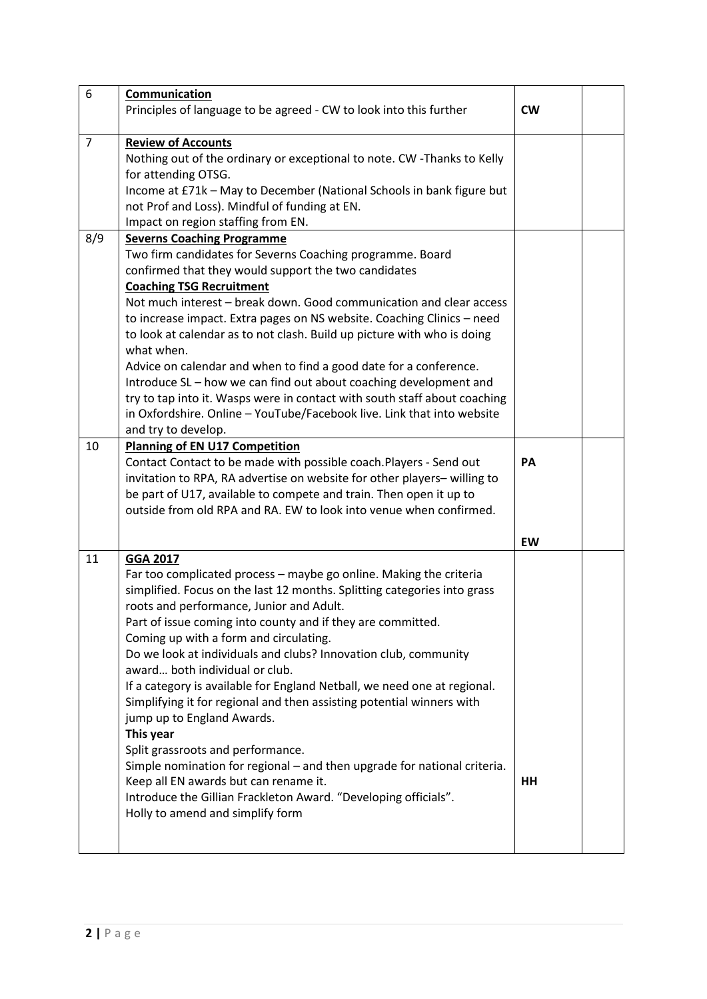| 6              | Communication                                                                         |           |  |
|----------------|---------------------------------------------------------------------------------------|-----------|--|
|                | Principles of language to be agreed - CW to look into this further                    | <b>CW</b> |  |
|                |                                                                                       |           |  |
| $\overline{7}$ | <b>Review of Accounts</b>                                                             |           |  |
|                | Nothing out of the ordinary or exceptional to note. CW -Thanks to Kelly               |           |  |
|                | for attending OTSG.                                                                   |           |  |
|                | Income at £71k - May to December (National Schools in bank figure but                 |           |  |
|                | not Prof and Loss). Mindful of funding at EN.                                         |           |  |
|                | Impact on region staffing from EN.                                                    |           |  |
| 8/9            | <b>Severns Coaching Programme</b>                                                     |           |  |
|                | Two firm candidates for Severns Coaching programme. Board                             |           |  |
|                | confirmed that they would support the two candidates                                  |           |  |
|                | <b>Coaching TSG Recruitment</b>                                                       |           |  |
|                | Not much interest - break down. Good communication and clear access                   |           |  |
|                | to increase impact. Extra pages on NS website. Coaching Clinics - need                |           |  |
|                | to look at calendar as to not clash. Build up picture with who is doing<br>what when. |           |  |
|                | Advice on calendar and when to find a good date for a conference.                     |           |  |
|                | Introduce SL - how we can find out about coaching development and                     |           |  |
|                | try to tap into it. Wasps were in contact with south staff about coaching             |           |  |
|                | in Oxfordshire. Online - YouTube/Facebook live. Link that into website                |           |  |
|                | and try to develop.                                                                   |           |  |
| 10             | <b>Planning of EN U17 Competition</b>                                                 |           |  |
|                | Contact Contact to be made with possible coach. Players - Send out                    | PA        |  |
|                | invitation to RPA, RA advertise on website for other players-willing to               |           |  |
|                | be part of U17, available to compete and train. Then open it up to                    |           |  |
|                | outside from old RPA and RA. EW to look into venue when confirmed.                    |           |  |
|                |                                                                                       |           |  |
|                |                                                                                       | EW        |  |
| 11             | <b>GGA 2017</b>                                                                       |           |  |
|                | Far too complicated process - maybe go online. Making the criteria                    |           |  |
|                | simplified. Focus on the last 12 months. Splitting categories into grass              |           |  |
|                | roots and performance, Junior and Adult.                                              |           |  |
|                | Part of issue coming into county and if they are committed.                           |           |  |
|                | Coming up with a form and circulating.                                                |           |  |
|                | Do we look at individuals and clubs? Innovation club, community                       |           |  |
|                | award both individual or club.                                                        |           |  |
|                | If a category is available for England Netball, we need one at regional.              |           |  |
|                | Simplifying it for regional and then assisting potential winners with                 |           |  |
|                | jump up to England Awards.                                                            |           |  |
|                | This year                                                                             |           |  |
|                | Split grassroots and performance.                                                     |           |  |
|                | Simple nomination for regional - and then upgrade for national criteria.              |           |  |
|                | Keep all EN awards but can rename it.                                                 | HH        |  |
|                | Introduce the Gillian Frackleton Award. "Developing officials".                       |           |  |
|                | Holly to amend and simplify form                                                      |           |  |
|                |                                                                                       |           |  |
|                |                                                                                       |           |  |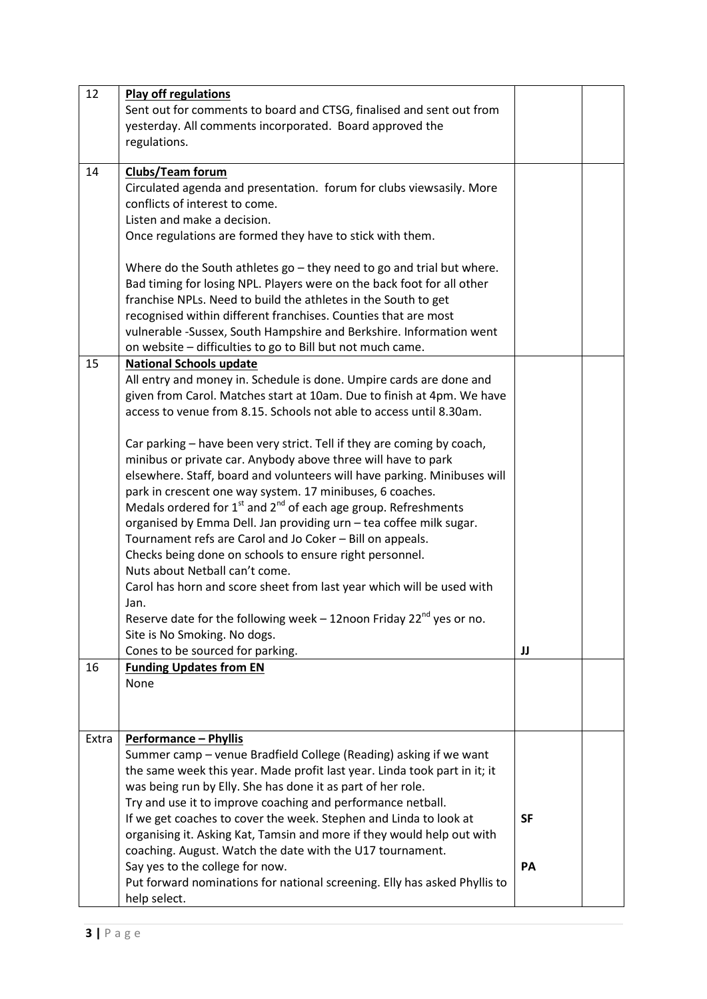| 12    | <b>Play off regulations</b>                                                       |           |  |
|-------|-----------------------------------------------------------------------------------|-----------|--|
|       | Sent out for comments to board and CTSG, finalised and sent out from              |           |  |
|       | yesterday. All comments incorporated. Board approved the                          |           |  |
|       | regulations.                                                                      |           |  |
|       |                                                                                   |           |  |
| 14    | <b>Clubs/Team forum</b>                                                           |           |  |
|       | Circulated agenda and presentation. forum for clubs viewsasily. More              |           |  |
|       | conflicts of interest to come.                                                    |           |  |
|       | Listen and make a decision.                                                       |           |  |
|       | Once regulations are formed they have to stick with them.                         |           |  |
|       |                                                                                   |           |  |
|       | Where do the South athletes $go$ – they need to go and trial but where.           |           |  |
|       | Bad timing for losing NPL. Players were on the back foot for all other            |           |  |
|       | franchise NPLs. Need to build the athletes in the South to get                    |           |  |
|       | recognised within different franchises. Counties that are most                    |           |  |
|       | vulnerable -Sussex, South Hampshire and Berkshire. Information went               |           |  |
|       | on website - difficulties to go to Bill but not much came.                        |           |  |
| 15    | <b>National Schools update</b>                                                    |           |  |
|       | All entry and money in. Schedule is done. Umpire cards are done and               |           |  |
|       | given from Carol. Matches start at 10am. Due to finish at 4pm. We have            |           |  |
|       | access to venue from 8.15. Schools not able to access until 8.30am.               |           |  |
|       |                                                                                   |           |  |
|       | Car parking - have been very strict. Tell if they are coming by coach,            |           |  |
|       | minibus or private car. Anybody above three will have to park                     |           |  |
|       |                                                                                   |           |  |
|       | elsewhere. Staff, board and volunteers will have parking. Minibuses will          |           |  |
|       | park in crescent one way system. 17 minibuses, 6 coaches.                         |           |  |
|       | Medals ordered for $1^{st}$ and $2^{nd}$ of each age group. Refreshments          |           |  |
|       | organised by Emma Dell. Jan providing urn - tea coffee milk sugar.                |           |  |
|       | Tournament refs are Carol and Jo Coker - Bill on appeals.                         |           |  |
|       | Checks being done on schools to ensure right personnel.                           |           |  |
|       | Nuts about Netball can't come.                                                    |           |  |
|       | Carol has horn and score sheet from last year which will be used with             |           |  |
|       | Jan.                                                                              |           |  |
|       | Reserve date for the following week $-12$ noon Friday 22 <sup>nd</sup> yes or no. |           |  |
|       | Site is No Smoking. No dogs.                                                      |           |  |
|       | Cones to be sourced for parking.                                                  | IJ        |  |
| 16    | <b>Funding Updates from EN</b>                                                    |           |  |
|       | None                                                                              |           |  |
|       |                                                                                   |           |  |
|       |                                                                                   |           |  |
| Extra | <b>Performance - Phyllis</b>                                                      |           |  |
|       | Summer camp – venue Bradfield College (Reading) asking if we want                 |           |  |
|       | the same week this year. Made profit last year. Linda took part in it; it         |           |  |
|       |                                                                                   |           |  |
|       | was being run by Elly. She has done it as part of her role.                       |           |  |
|       | Try and use it to improve coaching and performance netball.                       |           |  |
|       | If we get coaches to cover the week. Stephen and Linda to look at                 | <b>SF</b> |  |
|       | organising it. Asking Kat, Tamsin and more if they would help out with            |           |  |
|       | coaching. August. Watch the date with the U17 tournament.                         |           |  |
|       | Say yes to the college for now.                                                   | PA        |  |
|       | Put forward nominations for national screening. Elly has asked Phyllis to         |           |  |
|       | help select.                                                                      |           |  |